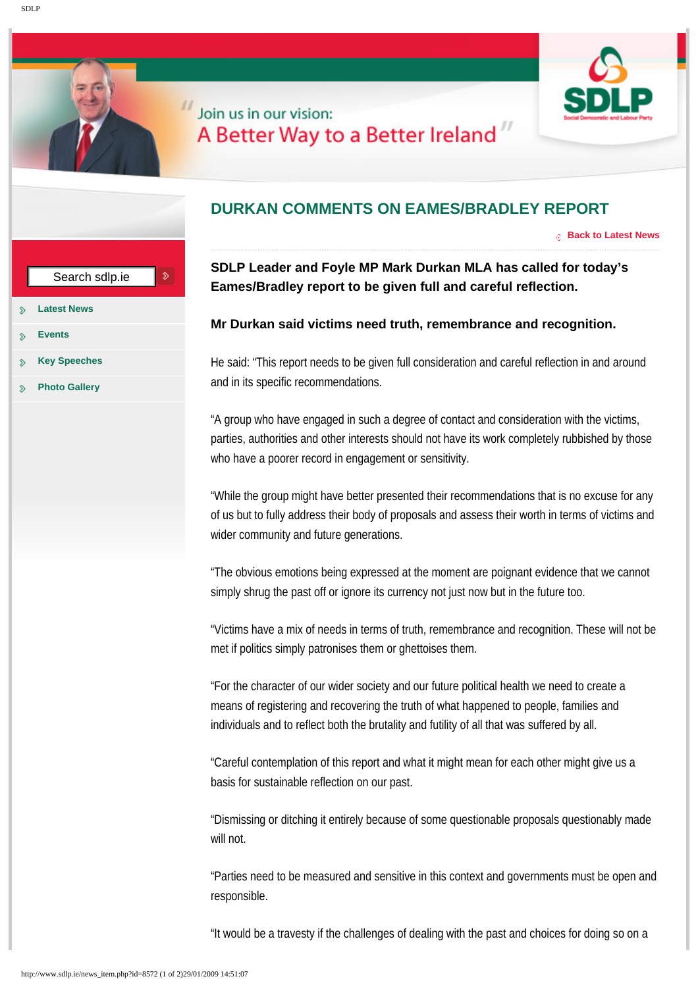## Join us in our vision: A Better Way to a Better Ireland"

|                                                                      | DURI                             |
|----------------------------------------------------------------------|----------------------------------|
| $\hat{\mathcal{D}}$<br>Search sdlp.ie                                | <b>SDLP</b><br>Eame:             |
| ÷<br><b>Latest News</b><br>≫                                         |                                  |
| <b>Events</b><br>≫                                                   | Mr Du                            |
| ç,<br><b>Key Speeches</b><br>s.                                      | He said                          |
| u<br><b>Photo Gallery</b><br>Š.                                      | and in it                        |
|                                                                      | "A group<br>parties,<br>who hay  |
|                                                                      | "While t<br>of us bu<br>wider co |
|                                                                      | "The ob<br>simply s              |
|                                                                      | "Victims<br>met if po            |
|                                                                      | "For the                         |
|                                                                      | means                            |
|                                                                      | individu                         |
|                                                                      | "Careful<br>basis fo             |
|                                                                      | "Dismis:<br>will not.            |
|                                                                      | "Parties                         |
|                                                                      | respons                          |
|                                                                      | "It would                        |
| http://www.sdlp.ie/news_item.php?id=8572 (1 of 2)29/01/2009 14:51:07 |                                  |

## **DURKAN COMMENTS ON EAMES/BRADLEY REPORT**

**[Back to Latest News](http://www.sdlp.ie/news.php)**

## **SDLP Leader and Foyle MP Mark Durkan MLA has called for today's Eames/Bradley report to be given full and careful reflection.**

## **Mr Durkan said victims need truth, remembrance and recognition.**

He said: "This report needs to be given full consideration and careful reflection in and around and in its specific recommendations.

"A group who have engaged in such a degree of contact and consideration with the victims, parties, authorities and other interests should not have its work completely rubbished by those who have a poorer record in engagement or sensitivity.

"While the group might have better presented their recommendations that is no excuse for any of us but to fully address their body of proposals and assess their worth in terms of victims and wider community and future generations.

"The obvious emotions being expressed at the moment are poignant evidence that we cannot simply shrug the past off or ignore its currency not just now but in the future too.

"Victims have a mix of needs in terms of truth, remembrance and recognition. These will not be met if politics simply patronises them or ghettoises them.

"For the character of our wider society and our future political health we need to create a means of registering and recovering the truth of what happened to people, families and individuals and to reflect both the brutality and futility of all that was suffered by all.

"Careful contemplation of this report and what it might mean for each other might give us a basis for sustainable reflection on our past.

"Dismissing or ditching it entirely because of some questionable proposals questionably made will not.

"Parties need to be measured and sensitive in this context and governments must be open and responsible.

"It would be a travesty if the challenges of dealing with the past and choices for doing so on a